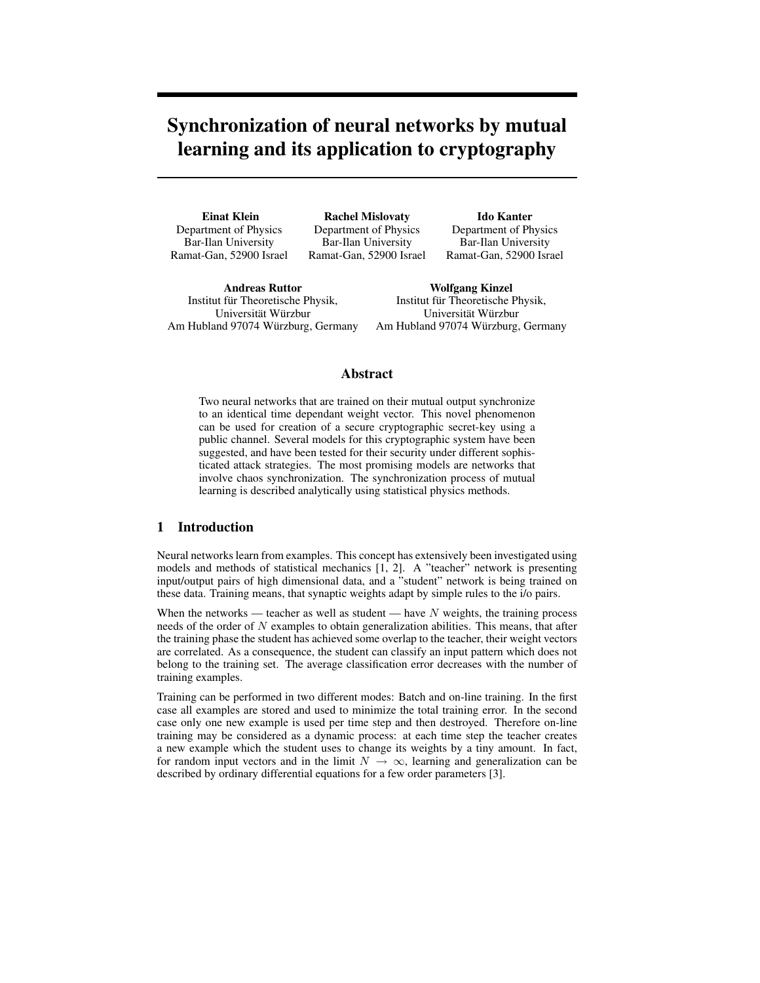# **Synchronization of neural networks by mutual learning and its application to cryptography**

**Einat Klein** Department of Physics Bar-Ilan University Ramat-Gan, 52900 Israel

**Rachel Mislovaty** Department of Physics Bar-Ilan University Ramat-Gan, 52900 Israel

**Ido Kanter** Department of Physics Bar-Ilan University Ramat-Gan, 52900 Israel

**Andreas Ruttor** Institut fur Theoretische Physik, ¨ Universität Würzbur Am Hubland 97074 Würzburg, Germany

**Wolfgang Kinzel** Institut für Theoretische Physik, Universität Würzbur Am Hubland 97074 Würzburg, Germany

## **Abstract**

Two neural networks that are trained on their mutual output synchronize to an identical time dependant weight vector. This novel phenomenon can be used for creation of a secure cryptographic secret-key using a public channel. Several models for this cryptographic system have been suggested, and have been tested for their security under different sophisticated attack strategies. The most promising models are networks that involve chaos synchronization. The synchronization process of mutual learning is described analytically using statistical physics methods.

## **1 Introduction**

Neural networks learn from examples. This concept has extensively been investigated using models and methods of statistical mechanics [1, 2]. A "teacher" network is presenting input/output pairs of high dimensional data, and a "student" network is being trained on these data. Training means, that synaptic weights adapt by simple rules to the i/o pairs.

When the networks — teacher as well as student — have  $N$  weights, the training process needs of the order of N examples to obtain generalization abilities. This means, that after the training phase the student has achieved some overlap to the teacher, their weight vectors are correlated. As a consequence, the student can classify an input pattern which does not belong to the training set. The average classification error decreases with the number of training examples.

Training can be performed in two different modes: Batch and on-line training. In the first case all examples are stored and used to minimize the total training error. In the second case only one new example is used per time step and then destroyed. Therefore on-line training may be considered as a dynamic process: at each time step the teacher creates a new example which the student uses to change its weights by a tiny amount. In fact, for random input vectors and in the limit  $N \to \infty$ , learning and generalization can be described by ordinary differential equations for a few order parameters [3].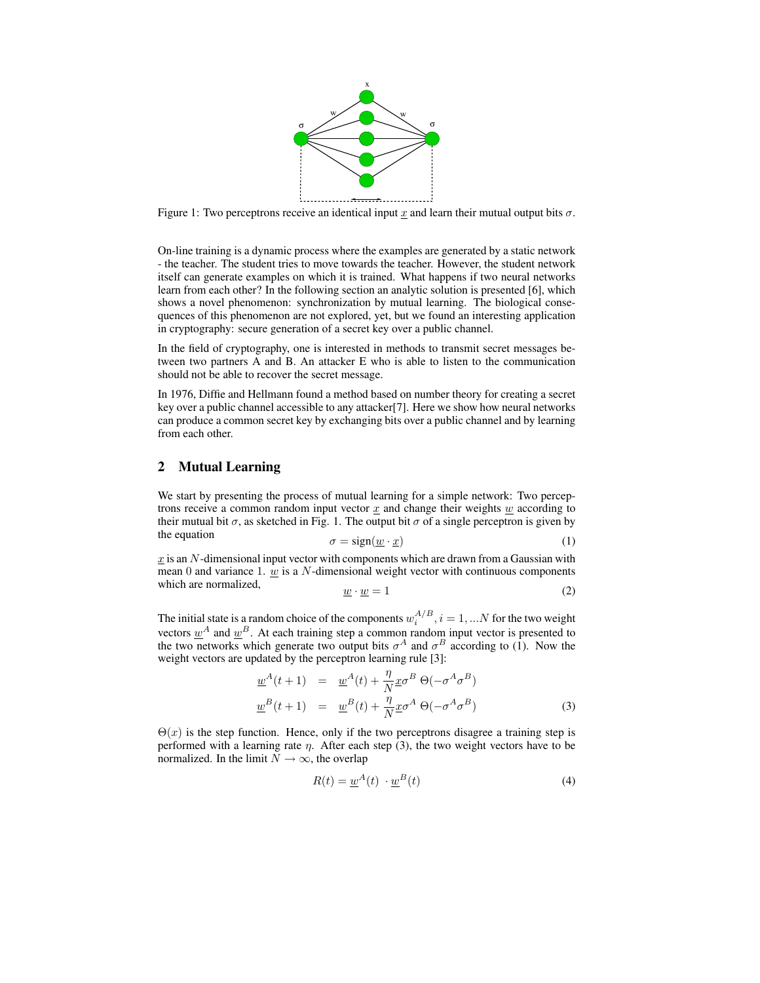

Figure 1: Two perceptrons receive an identical input x and learn their mutual output bits  $\sigma$ .

On-line training is a dynamic process where the examples are generated by a static network - the teacher. The student tries to move towards the teacher. However, the student network itself can generate examples on which it is trained. What happens if two neural networks learn from each other? In the following section an analytic solution is presented [6], which shows a novel phenomenon: synchronization by mutual learning. The biological consequences of this phenomenon are not explored, yet, but we found an interesting application in cryptography: secure generation of a secret key over a public channel.

In the field of cryptography, one is interested in methods to transmit secret messages between two partners A and B. An attacker E who is able to listen to the communication should not be able to recover the secret message.

In 1976, Diffie and Hellmann found a method based on number theory for creating a secret key over a public channel accessible to any attacker[7]. Here we show how neural networks can produce a common secret key by exchanging bits over a public channel and by learning from each other.

## **2 Mutual Learning**

We start by presenting the process of mutual learning for a simple network: Two perceptrons receive a common random input vector  $x$  and change their weights  $w$  according to their mutual bit  $\sigma$ , as sketched in Fig. 1. The output bit  $\sigma$  of a single perceptron is given by the equation

$$
\sigma = sign(\underline{w} \cdot \underline{x}) \tag{1}
$$

 $x$  is an N-dimensional input vector with components which are drawn from a Gaussian with mean 0 and variance 1.  $\omega$  is a N-dimensional weight vector with continuous components which are normalized,

$$
\underline{w} \cdot \underline{w} = 1\tag{2}
$$

The initial state is a random choice of the components  $w_i^{A/B}$ ,  $i = 1,...N$  for the two weight Fire find a state is a famoult entire of the components  $w_i$ ,  $i = 1, \dots N$  for the two weight vectors  $\underline{w}^A$  and  $\underline{w}^B$ . At each training step a common random input vector is presented to the two networks which generate two output bits  $\sigma^A$  and  $\sigma^B$  according to (1). Now the weight vectors are updated by the perceptron learning rule [3]:

$$
\underline{w}^{A}(t+1) = \underline{w}^{A}(t) + \frac{\eta}{N} \underline{x} \sigma^{B} \Theta(-\sigma^{A} \sigma^{B})
$$
  

$$
\underline{w}^{B}(t+1) = \underline{w}^{B}(t) + \frac{\eta}{N} \underline{x} \sigma^{A} \Theta(-\sigma^{A} \sigma^{B})
$$
 (3)

 $\Theta(x)$  is the step function. Hence, only if the two perceptrons disagree a training step is performed with a learning rate  $\eta$ . After each step (3), the two weight vectors have to be normalized. In the limit  $N \to \infty$ , the overlap

$$
R(t) = \underline{w}^{A}(t) \cdot \underline{w}^{B}(t)
$$
\n(4)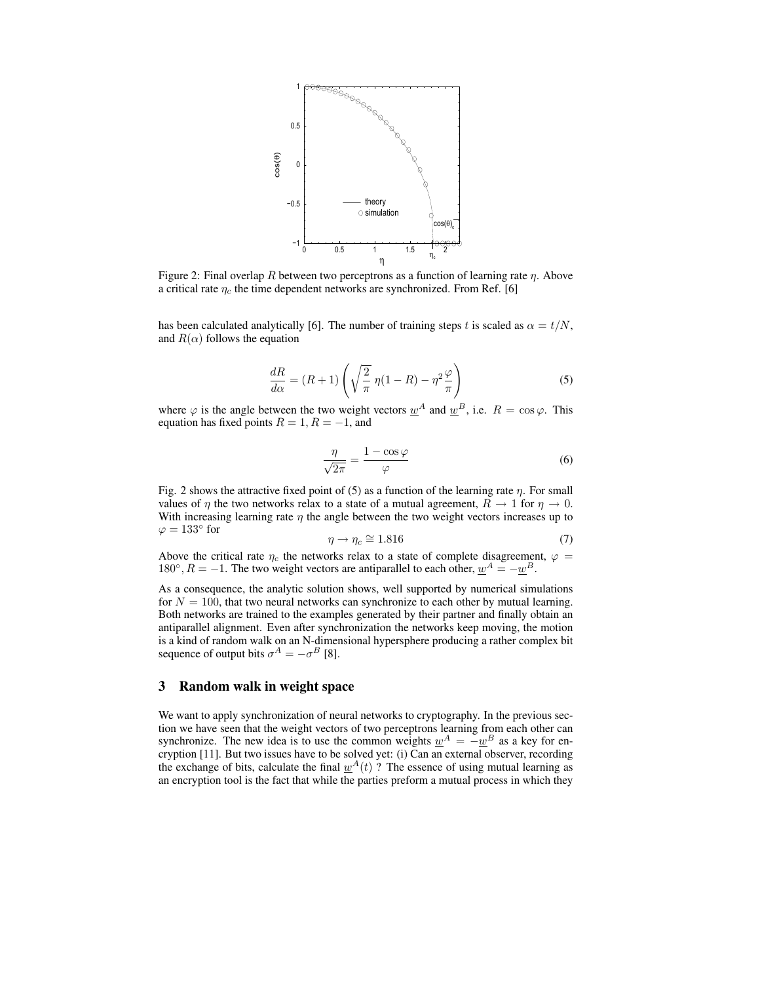

Figure 2: Final overlap R between two perceptrons as a function of learning rate  $\eta$ . Above a critical rate  $\eta_c$  the time dependent networks are synchronized. From Ref. [6]

has been calculated analytically [6]. The number of training steps t is scaled as  $\alpha = t/N$ , and  $R(\alpha)$  follows the equation

$$
\frac{dR}{d\alpha} = (R+1)\left(\sqrt{\frac{2}{\pi}}\,\eta(1-R) - \eta^2\frac{\varphi}{\pi}\right) \tag{5}
$$

where  $\varphi$  is the angle between the two weight vectors  $\underline{w}^{A}$  and  $\underline{w}^{B}$ , i.e.  $R = \cos \varphi$ . This equation has fixed points  $R = 1, R = -1$ , and

$$
\frac{\eta}{\sqrt{2\pi}} = \frac{1 - \cos\varphi}{\varphi} \tag{6}
$$

Fig. 2 shows the attractive fixed point of (5) as a function of the learning rate  $\eta$ . For small values of  $\eta$  the two networks relax to a state of a mutual agreement,  $R \to 1$  for  $\eta \to 0$ . With increasing learning rate  $\eta$  the angle between the two weight vectors increases up to  $\varphi = 133^\circ$  for

$$
\eta \to \eta_c \cong 1.816\tag{7}
$$

Above the critical rate  $\eta_c$  the networks relax to a state of complete disagreement,  $\varphi =$ 180°,  $R = -1$ . The two weight vectors are antiparallel to each other,  $\underline{w}^A = -\underline{w}^B$ .

As a consequence, the analytic solution shows, well supported by numerical simulations for  $N = 100$ , that two neural networks can synchronize to each other by mutual learning. Both networks are trained to the examples generated by their partner and finally obtain an antiparallel alignment. Even after synchronization the networks keep moving, the motion is a kind of random walk on an N-dimensional hypersphere producing a rather complex bit sequence of output bits  $\sigma^A = -\sigma^B$  [8].

## **3 Random walk in weight space**

We want to apply synchronization of neural networks to cryptography. In the previous section we have seen that the weight vectors of two perceptrons learning from each other can synchronize. The new idea is to use the common weights  $w^A = -w^B$  as a key for encryption [11]. But two issues have to be solved yet: (i) Can an external observer, recording the exchange of bits, calculate the final  $w^{A}(t)$  ? The essence of using mutual learning as an encryption tool is the fact that while the parties preform a mutual process in which they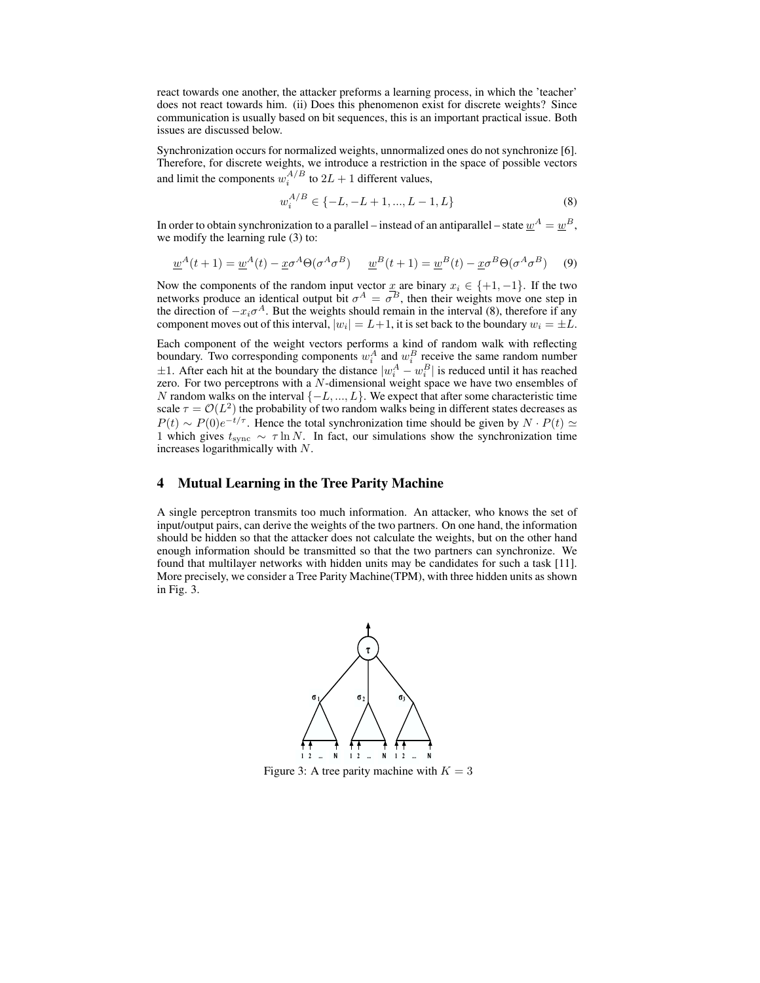react towards one another, the attacker preforms a learning process, in which the 'teacher' does not react towards him. (ii) Does this phenomenon exist for discrete weights? Since communication is usually based on bit sequences, this is an important practical issue. Both issues are discussed below.

Synchronization occurs for normalized weights, unnormalized ones do not synchronize [6]. Therefore, for discrete weights, we introduce a restriction in the space of possible vectors and limit the components  $w_i^{A/B}$  to  $2L + 1$  different values,

$$
w_i^{A/B} \in \{-L, -L+1, ..., L-1, L\}
$$
 (8)

In order to obtain synchronization to a parallel – instead of an antiparallel – state  $\underline{w}^A = \underline{w}^B,$ we modify the learning rule (3) to:

$$
\underline{w}^A(t+1) = \underline{w}^A(t) - \underline{x}\sigma^A \Theta(\sigma^A \sigma^B) \qquad \underline{w}^B(t+1) = \underline{w}^B(t) - \underline{x}\sigma^B \Theta(\sigma^A \sigma^B)
$$
(9)

Now the components of the random input vector  $\underline{x}$  are binary  $x_i \in \{+1, -1\}$ . If the two networks produce an identical output bit  $\sigma^A = \sigma^B$ , then their weights move one step in the direction of  $-x_i\sigma^A$ . But the weights should remain in the interval (8), therefore if any component moves out of this interval,  $|w_i| = L+1$ , it is set back to the boundary  $w_i = \pm L$ .

Each component of the weight vectors performs a kind of random walk with reflecting boundary. Two corresponding components  $w_i^A$  and  $w_i^B$  receive the same random number  $\pm 1$ . After each hit at the boundary the distance  $|w_i^A - w_i^B|$  is reduced until it has reached zero. For two perceptrons with a  $N$ -dimensional weight space we have two ensembles of N random walks on the interval  $\{-L, ..., L\}$ . We expect that after some characteristic time scale  $\tau = \mathcal{O}(L^2)$  the probability of two random walks being in different states decreases as  $P(t) \sim P(0)e^{-t/\tau}$ . Hence the total synchronization time should be given by  $N \cdot P(t) \simeq$ 1 which gives  $t_{\text{sync}} \sim \tau \ln N$ . In fact, our simulations show the synchronization time increases logarithmically with N.

# **4 Mutual Learning in the Tree Parity Machine**

A single perceptron transmits too much information. An attacker, who knows the set of input/output pairs, can derive the weights of the two partners. On one hand, the information should be hidden so that the attacker does not calculate the weights, but on the other hand enough information should be transmitted so that the two partners can synchronize. We found that multilayer networks with hidden units may be candidates for such a task [11]. More precisely, we consider a Tree Parity Machine(TPM), with three hidden units as shown in Fig. 3.



Figure 3: A tree parity machine with  $K = 3$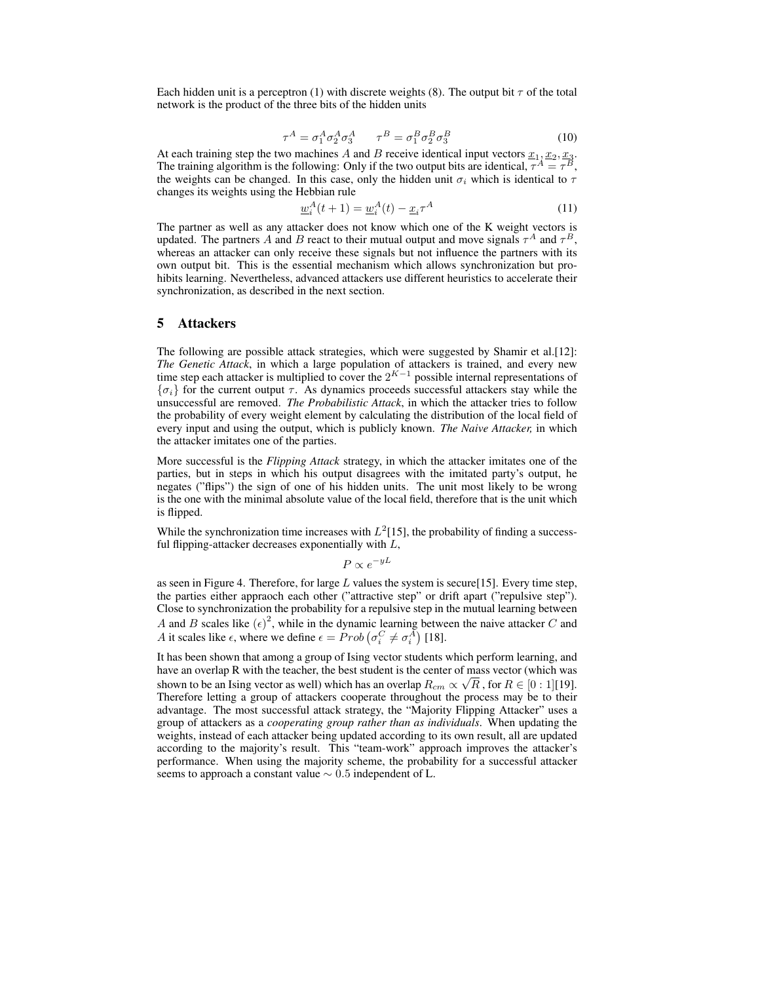Each hidden unit is a perceptron (1) with discrete weights (8). The output bit  $\tau$  of the total network is the product of the three bits of the hidden units

$$
\tau^A = \sigma_1^A \sigma_2^A \sigma_3^A \qquad \tau^B = \sigma_1^B \sigma_2^B \sigma_3^B \tag{10}
$$

At each training step the two machines A and B receive identical input vectors  $\underline{x}_1, \underline{x}_2, \underline{x}_3$ . The training algorithm is the following: Only if the two output bits are identical,  $\tau^A = \tau^B$ , the weights can be changed. In this case, only the hidden unit  $\sigma_i$  which is identical to  $\tau$ changes its weights using the Hebbian rule

$$
\underline{w}_i^A(t+1) = \underline{w}_i^A(t) - \underline{x}_i \tau^A \tag{11}
$$

The partner as well as any attacker does not know which one of the K weight vectors is updated. The partners A and B react to their mutual output and move signals  $\tau^A$  and  $\tau^B$ , whereas an attacker can only receive these signals but not influence the partners with its own output bit. This is the essential mechanism which allows synchronization but prohibits learning. Nevertheless, advanced attackers use different heuristics to accelerate their synchronization, as described in the next section.

#### **5 Attackers**

The following are possible attack strategies, which were suggested by Shamir et al.[12]: *The Genetic Attack*, in which a large population of attackers is trained, and every new time step each attacker is multiplied to cover the  $2^{K-1}$  possible internal representations of  ${\lbrace \sigma_i \rbrace}$  for the current output  $\tau$ . As dynamics proceeds successful attackers stay while the unsuccessful are removed. *The Probabilistic Attack*, in which the attacker tries to follow the probability of every weight element by calculating the distribution of the local field of every input and using the output, which is publicly known. *The Naive Attacker,* in which the attacker imitates one of the parties.

More successful is the *Flipping Attack* strategy, in which the attacker imitates one of the parties, but in steps in which his output disagrees with the imitated party's output, he negates ("flips") the sign of one of his hidden units. The unit most likely to be wrong is the one with the minimal absolute value of the local field, therefore that is the unit which is flipped.

While the synchronization time increases with  $L^2[15]$ , the probability of finding a successful flipping-attacker decreases exponentially with  $L$ ,

 $P \propto e^{-yL}$ 

as seen in Figure 4. Therefore, for large  $L$  values the system is secure [15]. Every time step, the parties either appraoch each other ("attractive step" or drift apart ("repulsive step"). Close to synchronization the probability for a repulsive step in the mutual learning between A and B scales like  $(\epsilon)^2$ , while in the dynamic learning between the naive attacker C and A it scales like  $\epsilon$ , where we define  $\epsilon = Prob(\sigma_i^C \neq \sigma_i^A)$  [18].

It has been shown that among a group of Ising vector students which perform learning, and have an overlap R with the teacher, the best student is the center of mass vector (which was shown to be an Ising vector as well) which has an overlap  $R_{cm} \propto \sqrt{R}$ , for  $R \in [0:1][19]$ . Therefore letting a group of attackers cooperate throughout the process may be to their advantage. The most successful attack strategy, the "Majority Flipping Attacker" uses a group of attackers as a *cooperating group rather than as individuals*. When updating the weights, instead of each attacker being updated according to its own result, all are updated according to the majority's result. This "team-work" approach improves the attacker's performance. When using the majority scheme, the probability for a successful attacker seems to approach a constant value  $\sim 0.5$  independent of L.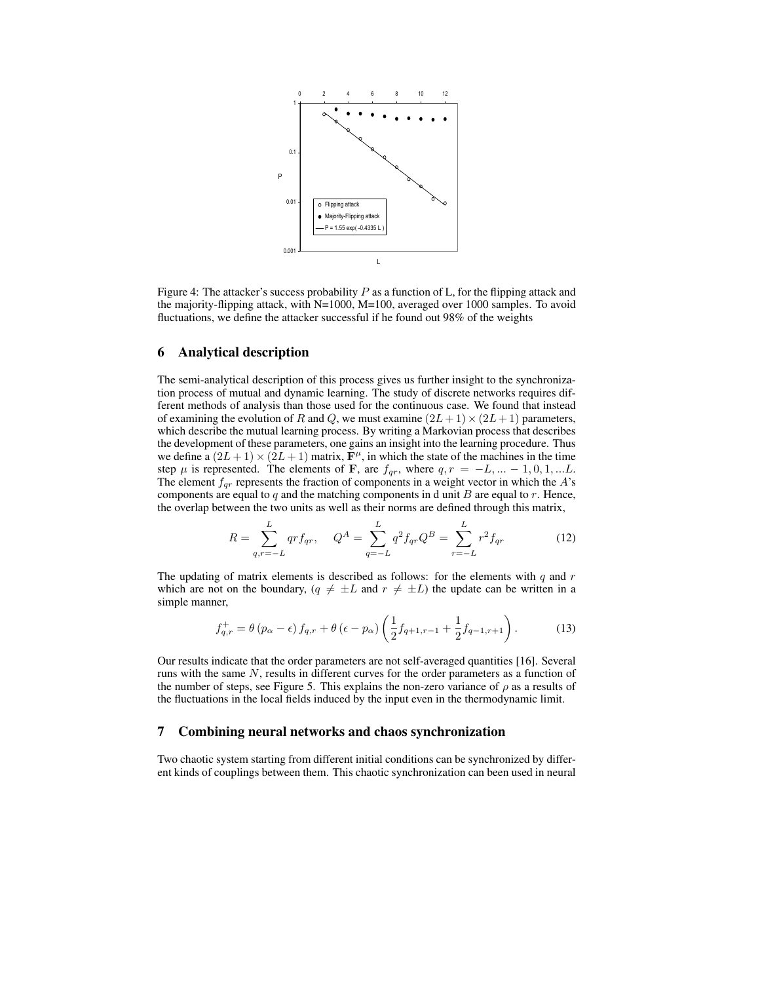

Figure 4: The attacker's success probability  $P$  as a function of L, for the flipping attack and the majority-flipping attack, with N=1000, M=100, averaged over 1000 samples. To avoid fluctuations, we define the attacker successful if he found out 98% of the weights

#### **6 Analytical description**

The semi-analytical description of this process gives us further insight to the synchronization process of mutual and dynamic learning. The study of discrete networks requires different methods of analysis than those used for the continuous case. We found that instead of examining the evolution of R and Q, we must examine  $(2L+1)\times(2L+1)$  parameters, which describe the mutual learning process. By writing a Markovian process that describes the development of these parameters, one gains an insight into the learning procedure. Thus we define a  $(2L+1) \times (2L+1)$  matrix,  $\mathbf{F}^{\mu}$ , in which the state of the machines in the time step  $\mu$  is represented. The elements of **F**, are  $f_{qr}$ , where  $q, r = -L, \dots -1, 0, 1, \dots L$ . The element  $f_{qr}$  represents the fraction of components in a weight vector in which the  $A$ 's components are equal to  $q$  and the matching components in d unit  $B$  are equal to  $r$ . Hence, the overlap between the two units as well as their norms are defined through this matrix,

$$
R = \sum_{q,r=-L}^{L} qr f_{qr}, \quad Q^{A} = \sum_{q=-L}^{L} q^{2} f_{qr} Q^{B} = \sum_{r=-L}^{L} r^{2} f_{qr}
$$
(12)

The updating of matrix elements is described as follows: for the elements with  $q$  and  $r$ which are not on the boundary,  $(q \neq \pm L \text{ and } r \neq \pm L)$  the update can be written in a simple manner,

$$
f_{q,r}^{+} = \theta (p_{\alpha} - \epsilon) f_{q,r} + \theta (\epsilon - p_{\alpha}) \left( \frac{1}{2} f_{q+1,r-1} + \frac{1}{2} f_{q-1,r+1} \right). \tag{13}
$$

Our results indicate that the order parameters are not self-averaged quantities [16]. Several runs with the same N, results in different curves for the order parameters as a function of the number of steps, see Figure 5. This explains the non-zero variance of  $\rho$  as a results of the fluctuations in the local fields induced by the input even in the thermodynamic limit.

#### **7 Combining neural networks and chaos synchronization**

Two chaotic system starting from different initial conditions can be synchronized by different kinds of couplings between them. This chaotic synchronization can been used in neural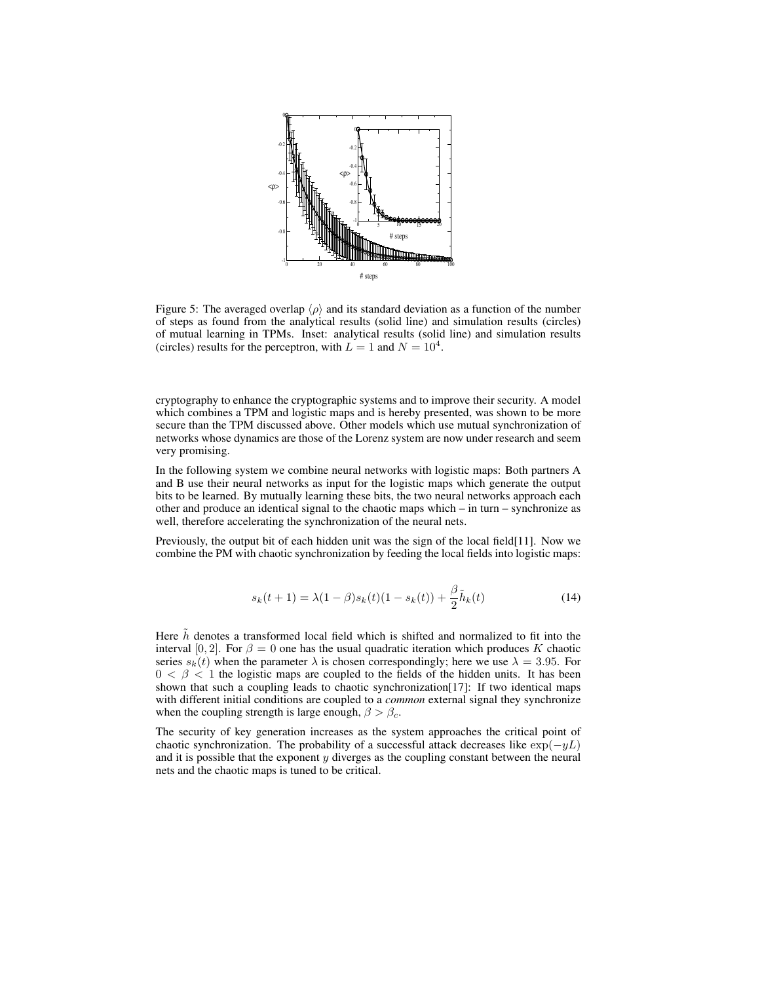

Figure 5: The averaged overlap  $\langle \rho \rangle$  and its standard deviation as a function of the number of steps as found from the analytical results (solid line) and simulation results (circles) of mutual learning in TPMs. Inset: analytical results (solid line) and simulation results (circles) results for the perceptron, with  $L = 1$  and  $N = 10<sup>4</sup>$ .

cryptography to enhance the cryptographic systems and to improve their security. A model which combines a TPM and logistic maps and is hereby presented, was shown to be more secure than the TPM discussed above. Other models which use mutual synchronization of networks whose dynamics are those of the Lorenz system are now under research and seem very promising.

In the following system we combine neural networks with logistic maps: Both partners A and B use their neural networks as input for the logistic maps which generate the output bits to be learned. By mutually learning these bits, the two neural networks approach each other and produce an identical signal to the chaotic maps which – in turn – synchronize as well, therefore accelerating the synchronization of the neural nets.

Previously, the output bit of each hidden unit was the sign of the local field[11]. Now we combine the PM with chaotic synchronization by feeding the local fields into logistic maps:

$$
s_k(t+1) = \lambda(1-\beta)s_k(t)(1-s_k(t)) + \frac{\beta}{2}\tilde{h}_k(t)
$$
\n(14)

Here  $\tilde{h}$  denotes a transformed local field which is shifted and normalized to fit into the interval [0, 2]. For  $\beta = 0$  one has the usual quadratic iteration which produces K chaotic series  $s_k(t)$  when the parameter  $\lambda$  is chosen correspondingly; here we use  $\lambda = 3.95$ . For  $0 < \beta < 1$  the logistic maps are coupled to the fields of the hidden units. It has been shown that such a coupling leads to chaotic synchronization[17]: If two identical maps with different initial conditions are coupled to a *common* external signal they synchronize when the coupling strength is large enough,  $\beta > \beta_c$ .

The security of key generation increases as the system approaches the critical point of chaotic synchronization. The probability of a successful attack decreases like  $\exp(-yL)$ and it is possible that the exponent  $y$  diverges as the coupling constant between the neural nets and the chaotic maps is tuned to be critical.